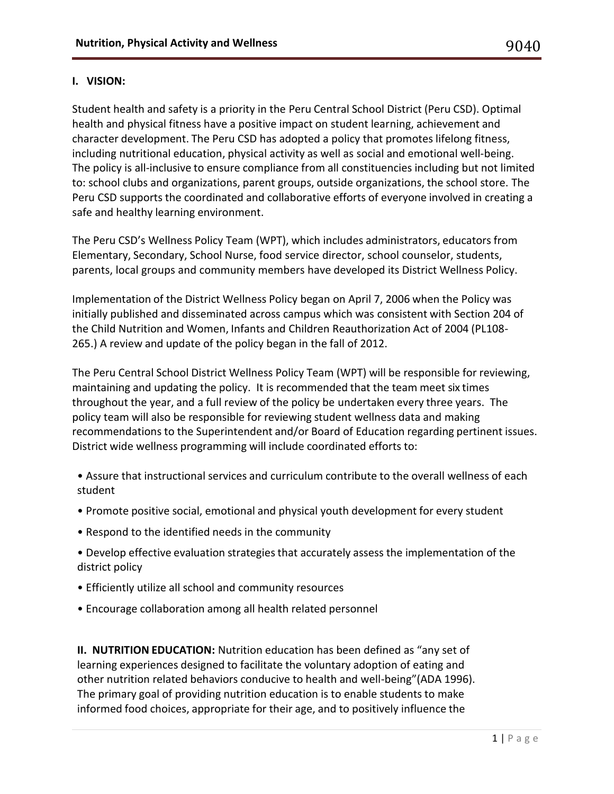### **I. VISION:**

Student health and safety is a priority in the Peru Central School District (Peru CSD). Optimal health and physical fitness have a positive impact on student learning, achievement and character development. The Peru CSD has adopted a policy that promotes lifelong fitness, including nutritional education, physical activity as well as social and emotional well-being. The policy is all-inclusive to ensure compliance from all constituencies including but not limited to: school clubs and organizations, parent groups, outside organizations, the school store. The Peru CSD supports the coordinated and collaborative efforts of everyone involved in creating a safe and healthy learning environment.

The Peru CSD's Wellness Policy Team (WPT), which includes administrators, educators from Elementary, Secondary, School Nurse, food service director, school counselor, students, parents, local groups and community members have developed its District Wellness Policy.

Implementation of the District Wellness Policy began on April 7, 2006 when the Policy was initially published and disseminated across campus which was consistent with Section 204 of the Child Nutrition and Women, Infants and Children Reauthorization Act of 2004 (PL108- 265.) A review and update of the policy began in the fall of 2012.

The Peru Central School District Wellness Policy Team (WPT) will be responsible for reviewing, maintaining and updating the policy. It is recommended that the team meet six times throughout the year, and a full review of the policy be undertaken every three years. The policy team will also be responsible for reviewing student wellness data and making recommendations to the Superintendent and/or Board of Education regarding pertinent issues. District wide wellness programming will include coordinated efforts to:

- Assure that instructional services and curriculum contribute to the overall wellness of each student
- Promote positive social, emotional and physical youth development for every student
- Respond to the identified needs in the community
- Develop effective evaluation strategies that accurately assess the implementation of the district policy
- Efficiently utilize all school and community resources
- Encourage collaboration among all health related personnel

**II. NUTRITION EDUCATION:** Nutrition education has been defined as "any set of learning experiences designed to facilitate the voluntary adoption of eating and other nutrition related behaviors conducive to health and well-being"(ADA 1996). The primary goal of providing nutrition education is to enable students to make informed food choices, appropriate for their age, and to positively influence the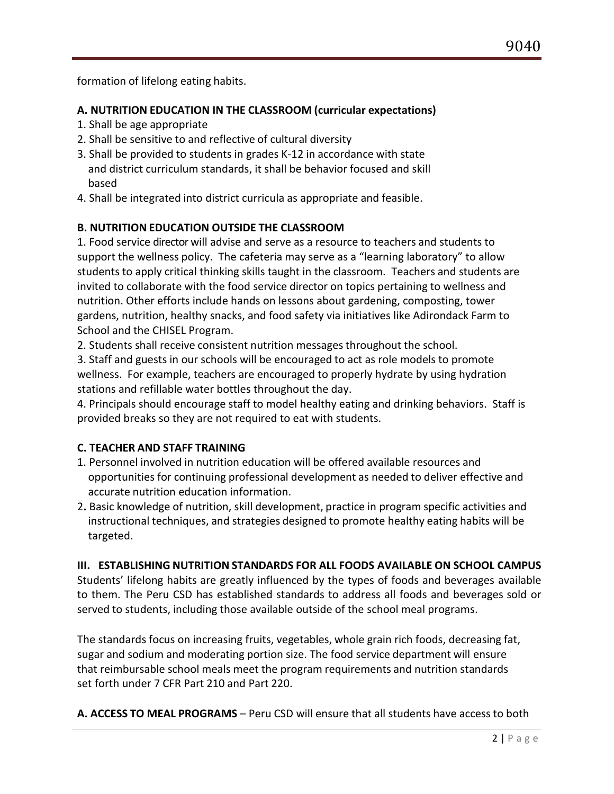formation of lifelong eating habits.

# **A. NUTRITION EDUCATION IN THE CLASSROOM (curricular expectations)**

- 1. Shall be age appropriate
- 2. Shall be sensitive to and reflective of cultural diversity
- 3. Shall be provided to students in grades K-12 in accordance with state and district curriculum standards, it shall be behavior focused and skill based
- 4. Shall be integrated into district curricula as appropriate and feasible.

# **B. NUTRITION EDUCATION OUTSIDE THE CLASSROOM**

1. Food service director will advise and serve as a resource to teachers and students to support the wellness policy. The cafeteria may serve as a "learning laboratory" to allow students to apply critical thinking skills taught in the classroom. Teachers and students are invited to collaborate with the food service director on topics pertaining to wellness and nutrition. Other efforts include hands on lessons about gardening, composting, tower gardens, nutrition, healthy snacks, and food safety via initiatives like Adirondack Farm to School and the CHISEL Program.

2. Students shall receive consistent nutrition messages throughout the school.

3. Staff and guests in our schools will be encouraged to act as role models to promote wellness. For example, teachers are encouraged to properly hydrate by using hydration stations and refillable water bottles throughout the day.

4. Principals should encourage staff to model healthy eating and drinking behaviors. Staff is provided breaks so they are not required to eat with students.

## **C. TEACHER AND STAFF TRAINING**

- 1. Personnel involved in nutrition education will be offered available resources and opportunities for continuing professional development as needed to deliver effective and accurate nutrition education information.
- 2**.** Basic knowledge of nutrition, skill development, practice in program specific activities and instructional techniques, and strategies designed to promote healthy eating habits will be targeted.

## **III. ESTABLISHING NUTRITION STANDARDS FOR ALL FOODS AVAILABLE ON SCHOOL CAMPUS**

Students' lifelong habits are greatly influenced by the types of foods and beverages available to them. The Peru CSD has established standards to address all foods and beverages sold or served to students, including those available outside of the school meal programs.

The standards focus on increasing fruits, vegetables, whole grain rich foods, decreasing fat, sugar and sodium and moderating portion size. The food service department will ensure that reimbursable school meals meet the program requirements and nutrition standards set forth under 7 CFR Part 210 and Part 220.

**A. ACCESS TO MEAL PROGRAMS** – Peru CSD will ensure that all students have access to both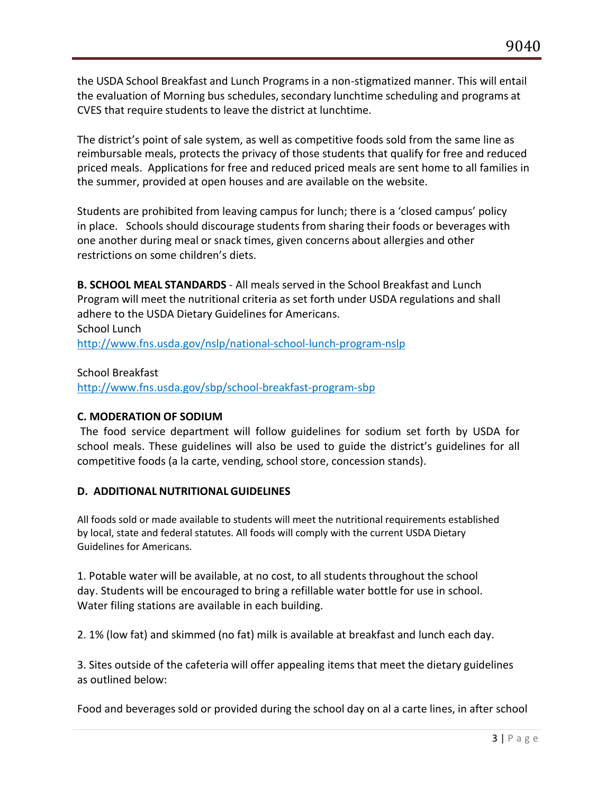the USDA School Breakfast and Lunch Programs in a non-stigmatized manner. This will entail the evaluation of Morning bus schedules, secondary lunchtime scheduling and programs at CVES that require students to leave the district at lunchtime.<br>The district's point of sale system, as well as competitive foods sold from the same line as

reimbursable meals, protects the privacy of those students that qualify for free and reduced priced meals. Applications for free and reduced priced meals are sent home to all families in the summer, provided at open houses and are available on the website.

 Students are prohibited from leaving campus for lunch; there is a 'closed campus' policy in place. Schools should discourage students from sharing their foods or beverages with one another during meal or snack times, given concerns about allergies and other restrictions on some children's diets.

**B. SCHOOL MEAL STANDARDS** - All meals served in the School Breakfast and Lunch Program will meet the nutritional criteria as set forth under USDA regulations and shall adhere to the USDA Dietary Guidelines for Americans. School Lunch <http://www.fns.usda.gov/nslp/national-school-lunch-program-nslp>

School Breakfast

<http://www.fns.usda.gov/sbp/school-breakfast-program-sbp>

## **C. MODERATION OF SODIUM**

The food service department will follow guidelines for sodium set forth by USDA for school meals. These guidelines will also be used to guide the district's guidelines for all competitive foods (a la carte, vending, school store, concession stands).

# **D. ADDITIONAL NUTRITIONAL GUIDELINES**

All foods sold or made available to students will meet the nutritional requirements established by local, state and federal statutes. All foods will comply with the current USDA Dietary Guidelines for Americans.

1. Potable water will be available, at no cost, to all students throughout the school day. Students will be encouraged to bring a refillable water bottle for use in school. Water filing stations are available in each building.

2. 1% (low fat) and skimmed (no fat) milk is available at breakfast and lunch each day.

3. Sites outside of the cafeteria will offer appealing items that meet the dietary guidelines as outlined below:

Food and beverages sold or provided during the school day on al a carte lines, in after school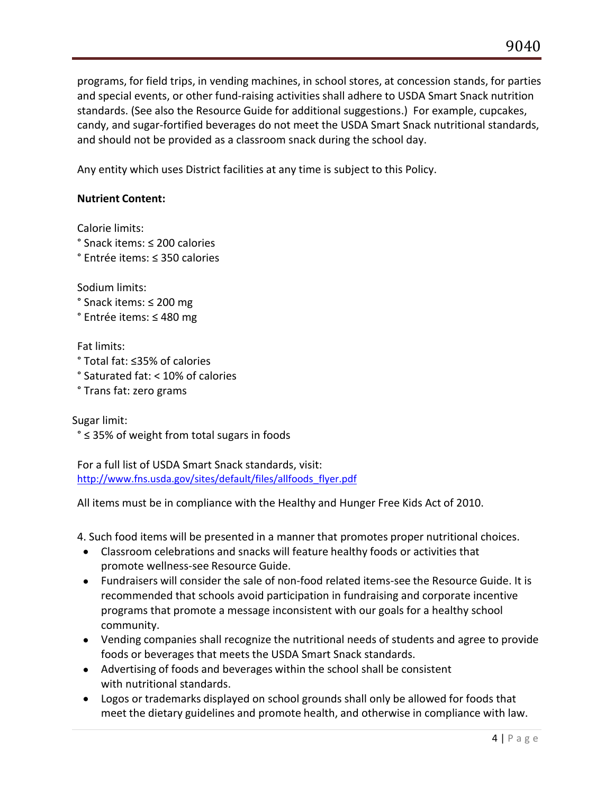programs, for field trips, in vending machines, in school stores, at concession stands, for parties and special events, or other fund-raising activities shall adhere to USDA Smart Snack nutrition standards. (See also the Resource Guide for additional suggestions.) For example, cupcakes, candy, and sugar-fortified beverages do not meet the USDA Smart Snack nutritional standards, and should not be provided as a classroom snack during the school day.

Any entity which uses District facilities at any time is subject to this Policy.

# **Nutrient Content:**

Calorie limits:

° Snack items: ≤ 200 calories

° Entrée items: ≤ 350 calories

Sodium limits:

° Snack items: ≤ 200 mg

° Entrée items: ≤ 480 mg

Fat limits:

° Total fat: ≤35% of calories

° Saturated fat: < 10% of calories

° Trans fat: zero grams

Sugar limit:

° ≤ 35% of weight from total sugars in foods

For a full list of USDA Smart Snack standards, visit: [http://www.fns.usda.gov/sites/default/files/allfoods\\_flyer.pdf](http://www.fns.usda.gov/sites/default/files/allfoods_flyer.pdf)

All items must be in compliance with the Healthy and Hunger Free Kids Act of 2010.

4. Such food items will be presented in a manner that promotes proper nutritional choices.

- Classroom celebrations and snacks will feature healthy foods or activities that promote wellness-see Resource Guide.
- Fundraisers will consider the sale of non-food related items-see the Resource Guide. It is recommended that schools avoid participation in fundraising and corporate incentive programs that promote a message inconsistent with our goals for a healthy school community.
- Vending companies shall recognize the nutritional needs of students and agree to provide foods or beverages that meets the USDA Smart Snack standards.
- Advertising of foods and beverages within the school shall be consistent with nutritional standards.
- Logos or trademarks displayed on school grounds shall only be allowed for foods that meet the dietary guidelines and promote health, and otherwise in compliance with law.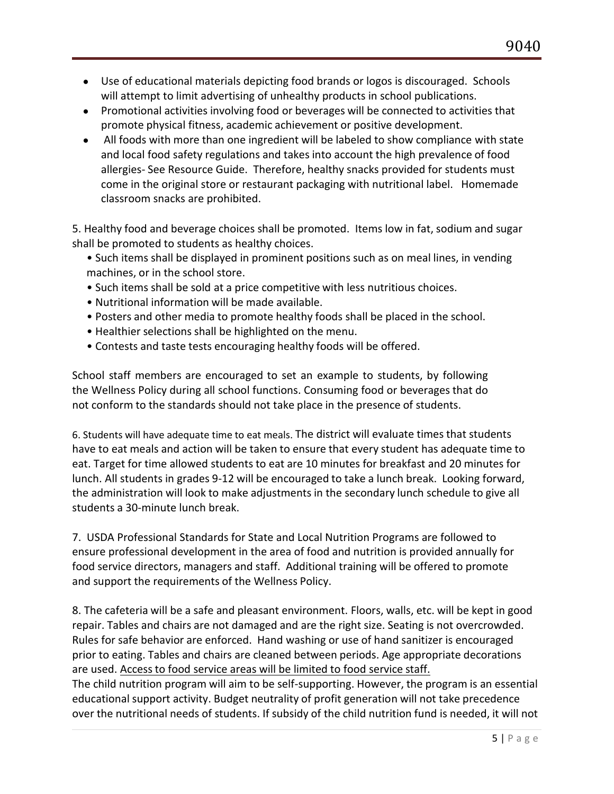- Use of educational materials depicting food brands or logos is discouraged. Schools will attempt to limit advertising of unhealthy products in school publications.
- Promotional activities involving food or beverages will be connected to activities that promote physical fitness, academic achievement or positive development.
- All foods with more than one ingredient will be labeled to show compliance with state and local food safety regulations and takes into account the high prevalence of food allergies- See Resource Guide. Therefore, healthy snacks provided for students must come in the original store or restaurant packaging with nutritional label. Homemade classroom snacks are prohibited.

5. Healthy food and beverage choices shall be promoted. Items low in fat, sodium and sugar shall be promoted to students as healthy choices.

- Such items shall be displayed in prominent positions such as on meal lines, in vending machines, or in the school store.
- Such items shall be sold at a price competitive with less nutritious choices.
- Nutritional information will be made available.
- Posters and other media to promote healthy foods shall be placed in the school.
- Healthier selections shall be highlighted on the menu.
- Contests and taste tests encouraging healthy foods will be offered.

School staff members are encouraged to set an example to students, by following the Wellness Policy during all school functions. Consuming food or beverages that do not conform to the standards should not take place in the presence of students.

6. Students will have adequate time to eat meals. The district will evaluate times that students have to eat meals and action will be taken to ensure that every student has adequate time to eat. Target for time allowed students to eat are 10 minutes for breakfast and 20 minutes for lunch. All students in grades 9-12 will be encouraged to take a lunch break. Looking forward, the administration will look to make adjustments in the secondary lunch schedule to give all students a 30-minute lunch break.

7. USDA Professional Standards for State and Local Nutrition Programs are followed to ensure professional development in the area of food and nutrition is provided annually for food service directors, managers and staff. Additional training will be offered to promote and support the requirements of the Wellness Policy.

8. The cafeteria will be a safe and pleasant environment. Floors, walls, etc. will be kept in good repair. Tables and chairs are not damaged and are the right size. Seating is not overcrowded.<br>Rules for safe behavior are enforced. Hand washing or use of hand sanitizer is encouraged prior to eating. Tables and chairs are cleaned between periods. Age appropriate decorations are used. Access to food service areas will be limited to food service staff.

The child nutrition program will aim to be self-supporting. However, the program is an essential educational support activity. Budget neutrality of profit generation will not take precedence over the nutritional needs of students. If subsidy of the child nutrition fund is needed, it will not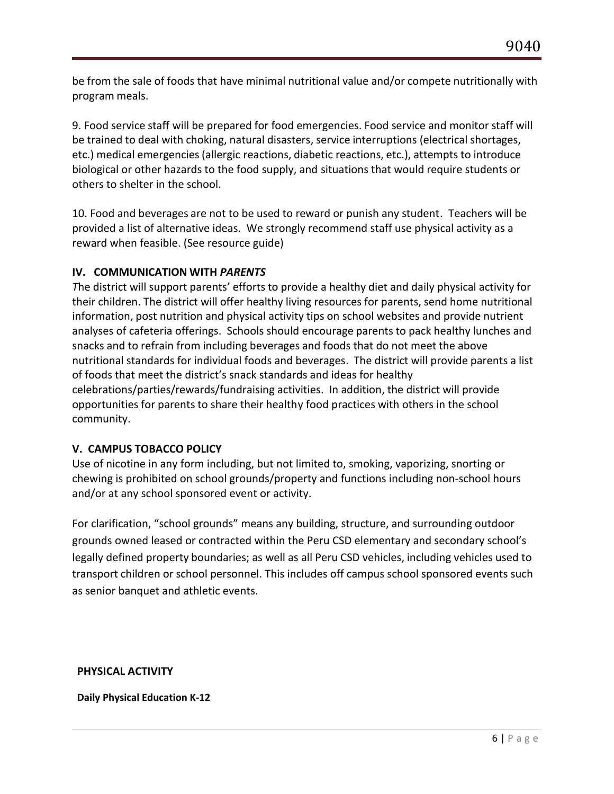be from the sale of foods that have minimal nutritional value and/or compete nutritionally with program meals.

9. Food service staff will be prepared for food emergencies. Food service and monitor staff will be trained to deal with choking, natural disasters, service interruptions (electrical shortages, etc.) medical emergencies(allergic reactions, diabetic reactions, etc.), attempts to introduce biological or other hazards to the food supply, and situations that would require students or others to shelter in the school.

10. Food and beverages are not to be used to reward or punish any student. Teachers will be provided a list of alternative ideas. We strongly recommend staff use physical activity as a reward when feasible. (See resource guide)

## **IV. COMMUNICATION WITH** *PARENTS*

The district will support parents' efforts to provide a healthy diet and daily physical activity for their children. The district will offer healthy living resources for parents, send home nutritional information, post nutrition and physical activity tips on school websites and provide nutrient analyses of cafeteria offerings. Schools should encourage parents to pack healthy lunches and snacks and to refrain from including beverages and foodsthat do not meet the above nutritional standards for individual foods and beverages. The districtwill provide parents a list of foods that meet the district's snack standards and ideas for healthy celebrations/parties/rewards/fundraising activities. In addition, the district will provide opportunities for parents to share their healthy food practices with others in the school community.

## **V. CAMPUS TOBACCO POLICY**

Use of nicotine in any form including, but not limited to, smoking, vaporizing, snorting or chewing is prohibited on school grounds/property and functions including non-school hours and/or at any school sponsored event or activity.

For clarification, "school grounds" means any building, structure, and surrounding outdoor grounds owned leased or contracted within the Peru CSD elementary and secondary school's legally defined property boundaries; as well as all Peru CSD vehicles, including vehicles used to transport children or school personnel. This includes off campus school sponsored events such as senior banquet and athletic events.

## **PHYSICAL ACTIVITY**

**Daily Physical Education K-12**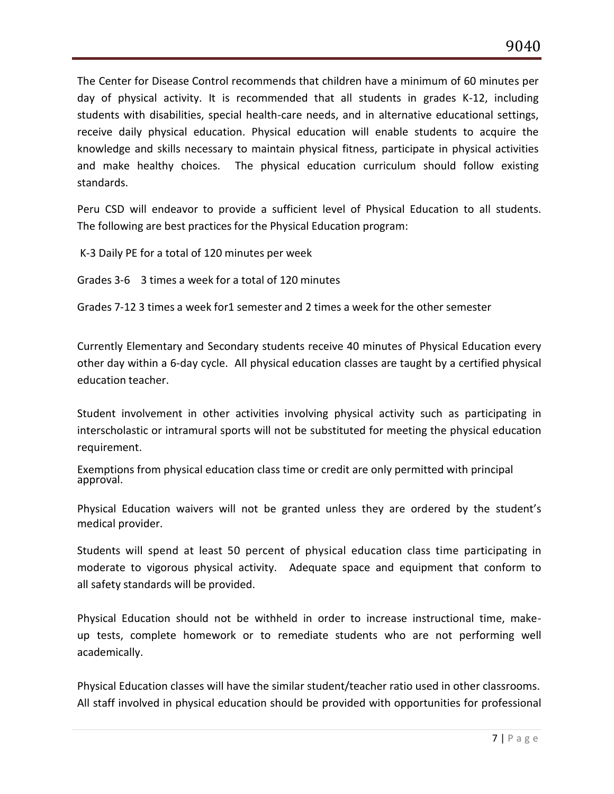The Center for Disease Control recommends that children have a minimum of 60 minutes per day of physical activity. It is recommended that all students in grades K-12, including students with disabilities, special health-care needs, and in alternative educational settings, receive daily physical education. Physical education will enable students to acquire the knowledge and skills necessary to maintain physical fitness, participate in physical activities and make healthy choices. The physical education curriculum should follow existing standards.

Peru CSD will endeavor to provide a sufficient level of Physical Education to all students. The following are best practices for the Physical Education program:

K-3 Daily PE for a total of 120 minutes per week

Grades 3-6 3 times a week for a total of 120 minutes

Grades 7-12 3 times a week for1 semester and 2 times a week for the other semester

Currently Elementary and Secondary students receive 40 minutes of Physical Education every other day within a 6-day cycle. All physical education classes are taught by a certified physical education teacher.

Student involvement in other activities involving physical activity such as participating in interscholastic or intramural sports will not be substituted for meeting the physical education requirement.

Exemptions from physical education class time or credit are only permitted with principal approval.

Physical Education waivers will not be granted unless they are ordered by the student's medical provider.

Students will spend at least 50 percent of physical education class time participating in moderate to vigorous physical activity. Adequate space and equipment that conform to all safety standards will be provided.

Physical Education should not be withheld in order to increase instructional time, make up tests, complete homework or to remediate students who are not performing well academically.

Physical Education classes will have the similar student/teacher ratio used in other classrooms. All staff involved in physical education should be provided with opportunities for professional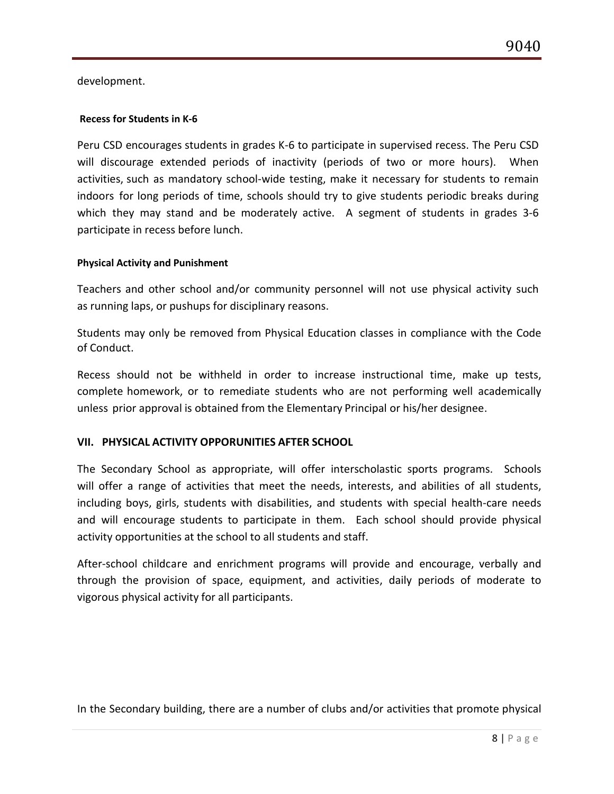development.

#### **Recess for Students in K-6**

Peru CSD encourages students in grades K-6 to participate in supervised recess. The Peru CSD will discourage extended periods of inactivity (periods of two or more hours). When activities, such as mandatory school-wide testing, make it necessary for students to remain indoors for long periods of time, schools should try to give students periodic breaks during which they may stand and be moderately active. A segment of students in grades 3-6 participate in recess before lunch.

#### **Physical Activity and Punishment**

Teachers and other school and/or community personnel will not use physical activity such as running laps, or pushups for disciplinary reasons.

Students may only be removed from Physical Education classes in compliance with the Code of Conduct.

Recess should not be withheld in order to increase instructional time, make up tests, complete homework, or to remediate students who are not performing well academically unless prior approval is obtained from the Elementary Principal or his/her designee.

### **VII. PHYSICAL ACTIVITY OPPORUNITIES AFTER SCHOOL**

The Secondary School as appropriate, will offer interscholastic sports programs. Schools will offer a range of activities that meet the needs, interests, and abilities of all students, including boys, girls, students with disabilities, and students with special health-care needs and will encourage students to participate in them. Each school should provide physical activity opportunities at the school to all students and staff.

After-school childcare and enrichment programs will provide and encourage, verbally and through the provision of space, equipment, and activities, daily periods of moderate to vigorous physical activity for all participants.

In the Secondary building, there are a number of clubs and/or activities that promote physical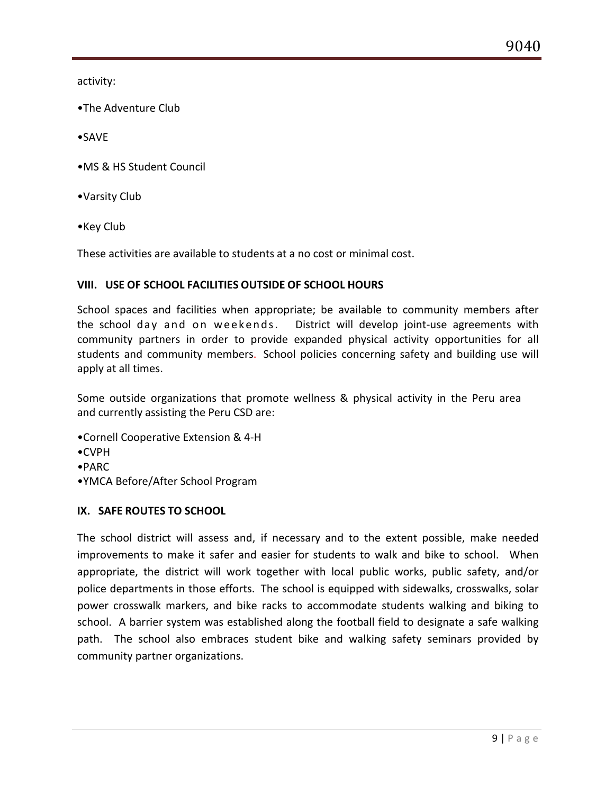activity:

- •The Adventure Club
- •SAVE
- •MS & HS Student Council
- •Varsity Club
- •Key Club

These activities are available to students at a no cost or minimal cost.

## **VIII. USE OF SCHOOL FACILITIES OUTSIDE OF SCHOOL HOURS**

School spaces and facilities when appropriate; be available to community members after the school day and on weekends. District will develop joint-use agreements with community partners in order to provide expanded physical activity opportunities for all students and community members. School policies concerning safety and building use will apply at all times.

Some outside organizations that promote wellness & physical activity in the Peru area and currently assisting the Peru CSD are:

- •Cornell Cooperative Extension & 4-H
- •CVPH
- •PARC
- •YMCA Before/After School Program

## **IX. SAFE ROUTES TO SCHOOL**

The school district will assess and, if necessary and to the extent possible, make needed improvements to make it safer and easier for students to walk and bike to school. When appropriate, the district will work together with local public works, public safety, and/or police departments in those efforts. The school is equipped with sidewalks, crosswalks, solar power crosswalk markers, and bike racks to accommodate students walking and biking to school. A barrier system was established along the football field to designate a safe walking path. The school also embraces student bike and walking safety seminars provided by community partner organizations.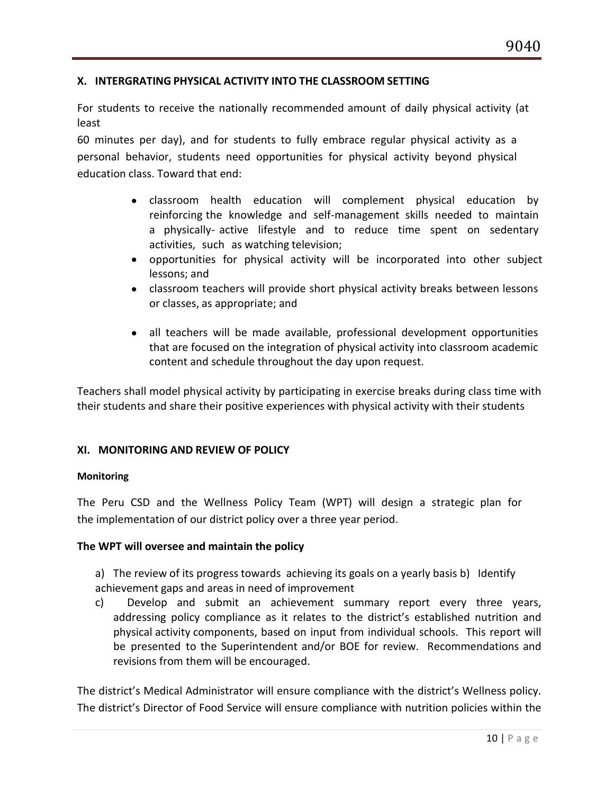### **X. INTERGRATING PHYSICAL ACTIVITY INTO THE CLASSROOM SETTING**

For students to receive the nationally recommended amount of daily physical activity (at least

60 minutes per day), and for students to fully embrace regular physical activity as a personal behavior, students need opportunities for physical activity beyond physical education class. Toward that end:

- classroom health education will complement physical education by reinforcing the knowledge and self-management skills needed to maintain a physically- active lifestyle and to reduce time spent on sedentary activities, such as watching television;
- opportunities for physical activity will be incorporated into other subject lessons; and
- classroom teachers will provide short physical activity breaks between lessons or classes, as appropriate; and
- all teachers will be made available, professional development opportunities that are focused on the integration of physical activity into classroom academic content and schedule throughout the day upon request.

Teachers shall model physical activity by participating in exercise breaks during class time with their students and share their positive experiences with physical activity with their students

### **XI. MONITORING AND REVIEW OF POLICY**

#### **Monitoring**

The Peru CSD and the Wellness Policy Team (WPT) will design a strategic plan for the implementation of our district policy over a three year period.

### **The WPT will oversee and maintain the policy**

a) The review of its progress towards achieving its goals on a yearly basis b) Identify achievement gaps and areas in need of improvement

c) Develop and submit an achievement summary report every three years, addressing policy compliance as it relates to the district's established nutrition and physical activity components, based on input from individual schools. This report will be presented to the Superintendent and/or BOE for review. Recommendations and revisions from them will be encouraged.

The district's Medical Administrator will ensure compliance with the district's Wellness policy. The district's Director of Food Service will ensure compliance with nutrition policies within the